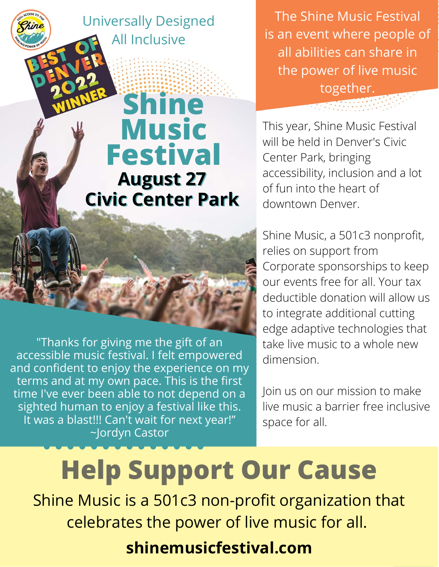Universally Designed All Inclusive

## **Music Festival August 27 Civic Center Park**

**Shine**

"Thanks for giving me the gift of an accessible music festival. I felt empowered and confident to enjoy the experience on my terms and at my own pace. This is the first time I've ever been able to not depend on a sighted human to enjoy a festival like this. It was a blast!!! Can't wait for next year!" ~Jordyn Castor

The Shine Music Festival is an event where people of all abilities can share in the power of live music together.

This year, Shine Music Festival will be held in Denver's Civic Center Park, bringing accessibility, inclusion and a lot of fun into the heart of downtown Denver.

Shine Music, a 501c3 nonprofit, relies on support from Corporate sponsorships to keep our events free for all. Your tax deductible donation will allow us to integrate additional cutting edge adaptive technologies that take live music to a whole new dimension.

Join us on our mission to make live music a barrier free inclusive space for all.

## **Help Support Our Cause**

Shine Music is a 501c3 non-profit organization that celebrates the power of live music for all.

## **shinemusicfestival.com**